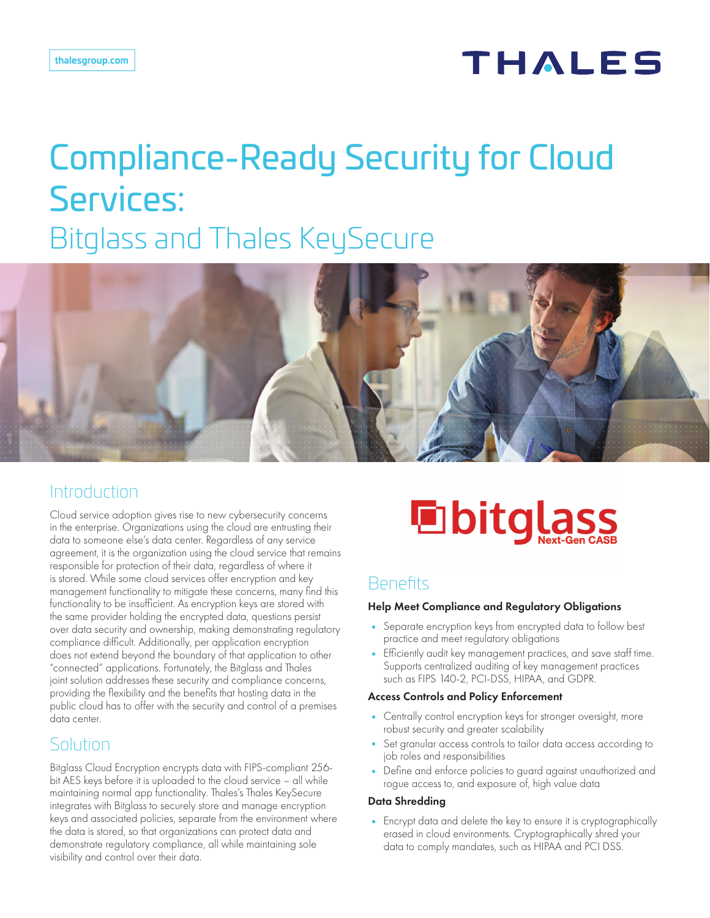## **THALES**

# Compliance-Ready Security for Cloud Services: Bitglass and Thales KeySecure



## Introduction

Cloud service adoption gives rise to new cybersecurity concerns in the enterprise. Organizations using the cloud are entrusting their data to someone else's data center. Regardless of any service agreement, it is the organization using the cloud service that remains responsible for protection of their data, regardless of where it is stored. While some cloud services offer encryption and key management functionality to mitigate these concerns, many find this functionality to be insufficient. As encryption keys are stored with the same provider holding the encrypted data, questions persist over data security and ownership, making demonstrating regulatory compliance difficult. Additionally, per application encryption does not extend beyond the boundary of that application to other "connected" applications. Fortunately, the Bitglass and Thales joint solution addresses these security and compliance concerns, providing the flexibility and the benefits that hosting data in the public cloud has to offer with the security and control of a premises data center.

## Solution

Bitglass Cloud Encryption encrypts data with FIPS-compliant 256 bit AES keys before it is uploaded to the cloud service – all while maintaining normal app functionality. Thales's Thales KeySecure integrates with Bitglass to securely store and manage encryption keys and associated policies, separate from the environment where the data is stored, so that organizations can protect data and demonstrate regulatory compliance, all while maintaining sole visibility and control over their data.



## **Benefits**

#### Help Meet Compliance and Regulatory Obligations

- Separate encryption keys from encrypted data to follow best practice and meet regulatory obligations
- Efficiently audit key management practices, and save staff time. Supports centralized auditing of key management practices such as FIPS 140-2, PCI-DSS, HIPAA, and GDPR.

#### Access Controls and Policy Enforcement

- Centrally control encryption keys for stronger oversight, more robust security and greater scalability
- Set granular access controls to tailor data access according to job roles and responsibilities
- Define and enforce policies to guard against unauthorized and rogue access to, and exposure of, high value data

#### Data Shredding

• Encrypt data and delete the key to ensure it is cryptographically erased in cloud environments. Cryptographically shred your data to comply mandates, such as HIPAA and PCI DSS.